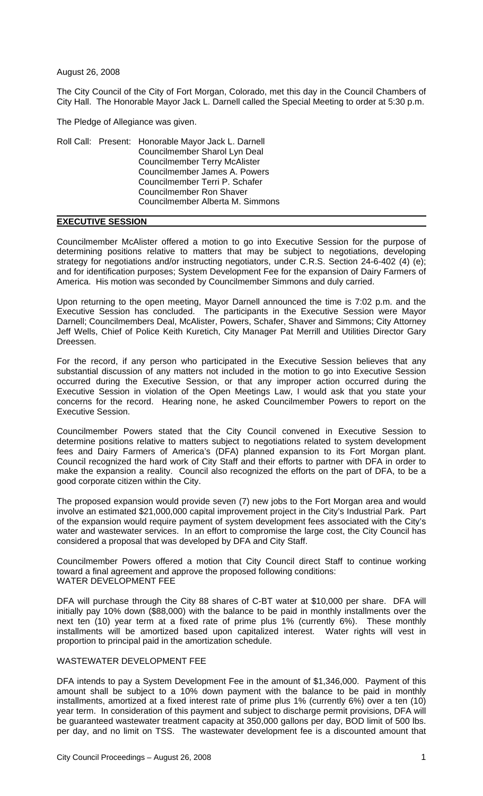August 26, 2008

The City Council of the City of Fort Morgan, Colorado, met this day in the Council Chambers of City Hall. The Honorable Mayor Jack L. Darnell called the Special Meeting to order at 5:30 p.m.

The Pledge of Allegiance was given.

|  |  | Roll Call: Present: Honorable Mayor Jack L. Darnell |
|--|--|-----------------------------------------------------|
|  |  | Councilmember Sharol Lyn Deal                       |
|  |  | <b>Councilmember Terry McAlister</b>                |
|  |  | Councilmember James A. Powers                       |
|  |  | Councilmember Terri P. Schafer                      |
|  |  | <b>Councilmember Ron Shaver</b>                     |
|  |  | Councilmember Alberta M. Simmons                    |
|  |  |                                                     |

## **EXECUTIVE SESSION**

Councilmember McAlister offered a motion to go into Executive Session for the purpose of determining positions relative to matters that may be subject to negotiations, developing strategy for negotiations and/or instructing negotiators, under C.R.S. Section 24-6-402 (4) (e); and for identification purposes; System Development Fee for the expansion of Dairy Farmers of America. His motion was seconded by Councilmember Simmons and duly carried.

Upon returning to the open meeting, Mayor Darnell announced the time is 7:02 p.m. and the Executive Session has concluded. The participants in the Executive Session were Mayor Darnell; Councilmembers Deal, McAlister, Powers, Schafer, Shaver and Simmons; City Attorney Jeff Wells, Chief of Police Keith Kuretich, City Manager Pat Merrill and Utilities Director Gary Dreessen.

For the record, if any person who participated in the Executive Session believes that any substantial discussion of any matters not included in the motion to go into Executive Session occurred during the Executive Session, or that any improper action occurred during the Executive Session in violation of the Open Meetings Law, I would ask that you state your concerns for the record. Hearing none, he asked Councilmember Powers to report on the Executive Session.

Councilmember Powers stated that the City Council convened in Executive Session to determine positions relative to matters subject to negotiations related to system development fees and Dairy Farmers of America's (DFA) planned expansion to its Fort Morgan plant. Council recognized the hard work of City Staff and their efforts to partner with DFA in order to make the expansion a reality. Council also recognized the efforts on the part of DFA, to be a good corporate citizen within the City.

The proposed expansion would provide seven (7) new jobs to the Fort Morgan area and would involve an estimated \$21,000,000 capital improvement project in the City's Industrial Park. Part of the expansion would require payment of system development fees associated with the City's water and wastewater services. In an effort to compromise the large cost, the City Council has considered a proposal that was developed by DFA and City Staff.

Councilmember Powers offered a motion that City Council direct Staff to continue working toward a final agreement and approve the proposed following conditions: WATER DEVELOPMENT FEE

DFA will purchase through the City 88 shares of C-BT water at \$10,000 per share. DFA will initially pay 10% down (\$88,000) with the balance to be paid in monthly installments over the next ten (10) year term at a fixed rate of prime plus 1% (currently 6%). These monthly installments will be amortized based upon capitalized interest. Water rights will vest in proportion to principal paid in the amortization schedule.

## WASTEWATER DEVELOPMENT FEE

DFA intends to pay a System Development Fee in the amount of \$1,346,000. Payment of this amount shall be subject to a 10% down payment with the balance to be paid in monthly installments, amortized at a fixed interest rate of prime plus 1% (currently 6%) over a ten (10) year term. In consideration of this payment and subject to discharge permit provisions, DFA will be guaranteed wastewater treatment capacity at 350,000 gallons per day, BOD limit of 500 lbs. per day, and no limit on TSS. The wastewater development fee is a discounted amount that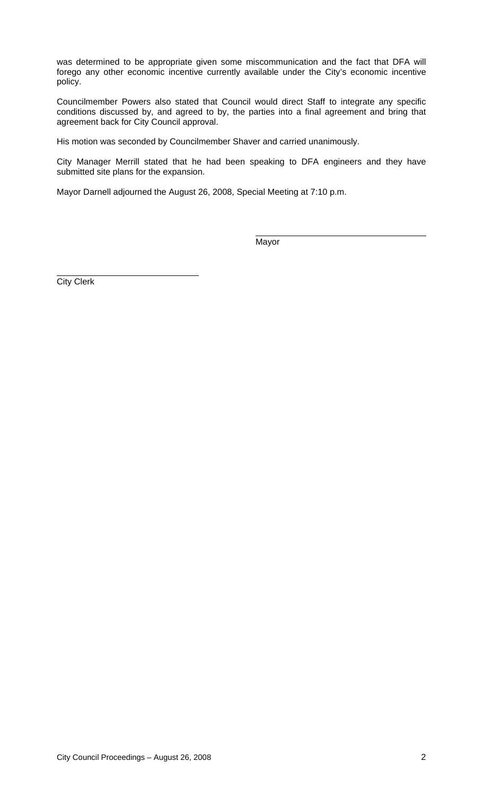was determined to be appropriate given some miscommunication and the fact that DFA will forego any other economic incentive currently available under the City's economic incentive policy.

Councilmember Powers also stated that Council would direct Staff to integrate any specific conditions discussed by, and agreed to by, the parties into a final agreement and bring that agreement back for City Council approval.

His motion was seconded by Councilmember Shaver and carried unanimously.

City Manager Merrill stated that he had been speaking to DFA engineers and they have submitted site plans for the expansion.

Mayor Darnell adjourned the August 26, 2008, Special Meeting at 7:10 p.m.

Mayor

City Clerk

L